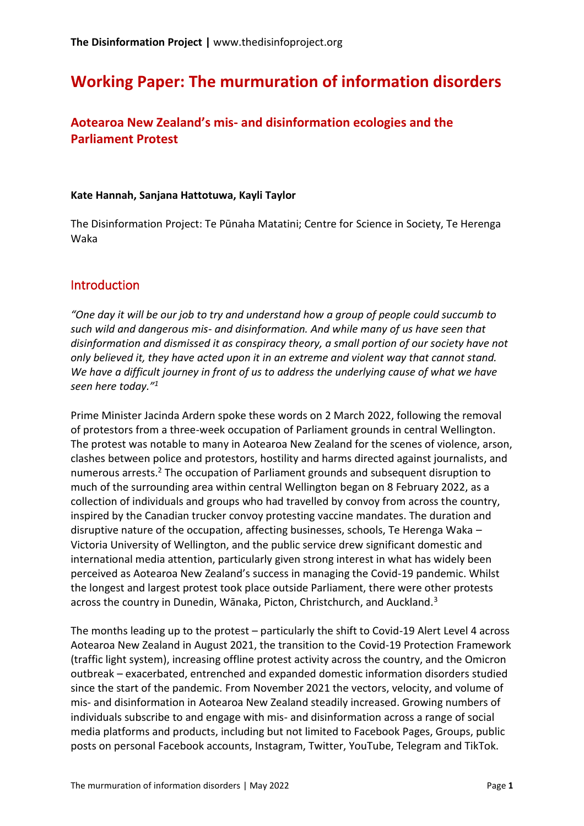# **Working Paper: The murmuration of information disorders**

### **Aotearoa New Zealand's mis- and disinformation ecologies and the Parliament Protest**

#### **Kate Hannah, Sanjana Hattotuwa, Kayli Taylor**

The Disinformation Project: Te Pūnaha Matatini; Centre for Science in Society, Te Herenga Waka

#### **Introduction**

*"One day it will be our job to try and understand how a group of people could succumb to such wild and dangerous mis- and disinformation. And while many of us have seen that disinformation and dismissed it as conspiracy theory, a small portion of our society have not only believed it, they have acted upon it in an extreme and violent way that cannot stand. We have a difficult journey in front of us to address the underlying cause of what we have seen here today."<sup>1</sup>*

Prime Minister Jacinda Ardern spoke these words on 2 March 2022, following the removal of protestors from a three-week occupation of Parliament grounds in central Wellington. The protest was notable to many in Aotearoa New Zealand for the scenes of violence, arson, clashes between police and protestors, hostility and harms directed against journalists, and numerous arrests.<sup>2</sup> The occupation of Parliament grounds and subsequent disruption to much of the surrounding area within central Wellington began on 8 February 2022, as a collection of individuals and groups who had travelled by convoy from across the country, inspired by the Canadian trucker convoy protesting vaccine mandates. The duration and disruptive nature of the occupation, affecting businesses, schools, Te Herenga Waka – Victoria University of Wellington, and the public service drew significant domestic and international media attention, particularly given strong interest in what has widely been perceived as Aotearoa New Zealand's success in managing the Covid-19 pandemic. Whilst the longest and largest protest took place outside Parliament, there were other protests across the country in Dunedin, Wānaka, Picton, Christchurch, and Auckland.<sup>3</sup>

The months leading up to the protest – particularly the shift to Covid-19 Alert Level 4 across Aotearoa New Zealand in August 2021, the transition to the Covid-19 Protection Framework (traffic light system), increasing offline protest activity across the country, and the Omicron outbreak – exacerbated, entrenched and expanded domestic information disorders studied since the start of the pandemic. From November 2021 the vectors, velocity, and volume of mis- and disinformation in Aotearoa New Zealand steadily increased. Growing numbers of individuals subscribe to and engage with mis- and disinformation across a range of social media platforms and products, including but not limited to Facebook Pages, Groups, public posts on personal Facebook accounts, Instagram, Twitter, YouTube, Telegram and TikTok.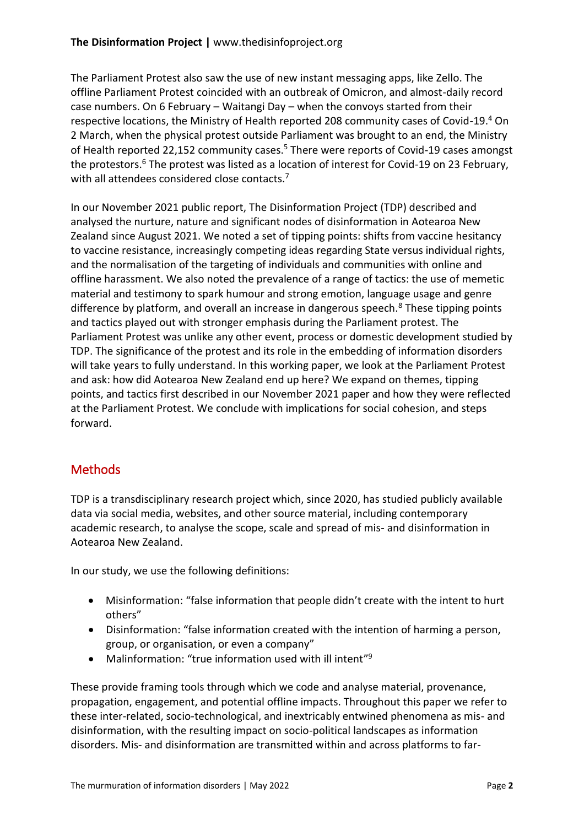The Parliament Protest also saw the use of new instant messaging apps, like Zello. The offline Parliament Protest coincided with an outbreak of Omicron, and almost-daily record case numbers. On 6 February – Waitangi Day – when the convoys started from their respective locations, the Ministry of Health reported 208 community cases of Covid-19.<sup>4</sup> On 2 March, when the physical protest outside Parliament was brought to an end, the Ministry of Health reported 22,152 community cases.<sup>5</sup> There were reports of Covid-19 cases amongst the protestors.<sup>6</sup> The protest was listed as a location of interest for Covid-19 on 23 February, with all attendees considered close contacts.<sup>7</sup>

In our November 2021 public report, The Disinformation Project (TDP) described and analysed the nurture, nature and significant nodes of disinformation in Aotearoa New Zealand since August 2021. We noted a set of tipping points: shifts from vaccine hesitancy to vaccine resistance, increasingly competing ideas regarding State versus individual rights, and the normalisation of the targeting of individuals and communities with online and offline harassment. We also noted the prevalence of a range of tactics: the use of memetic material and testimony to spark humour and strong emotion, language usage and genre difference by platform, and overall an increase in dangerous speech. $8$  These tipping points and tactics played out with stronger emphasis during the Parliament protest. The Parliament Protest was unlike any other event, process or domestic development studied by TDP. The significance of the protest and its role in the embedding of information disorders will take years to fully understand. In this working paper, we look at the Parliament Protest and ask: how did Aotearoa New Zealand end up here? We expand on themes, tipping points, and tactics first described in our November 2021 paper and how they were reflected at the Parliament Protest. We conclude with implications for social cohesion, and steps forward.

# **Methods**

TDP is a transdisciplinary research project which, since 2020, has studied publicly available data via social media, websites, and other source material, including contemporary academic research, to analyse the scope, scale and spread of mis- and disinformation in Aotearoa New Zealand.

In our study, we use the following definitions:

- Misinformation: "false information that people didn't create with the intent to hurt others"
- Disinformation: "false information created with the intention of harming a person, group, or organisation, or even a company"
- Malinformation: "true information used with ill intent"<sup>9</sup>

These provide framing tools through which we code and analyse material, provenance, propagation, engagement, and potential offline impacts. Throughout this paper we refer to these inter-related, socio-technological, and inextricably entwined phenomena as mis- and disinformation, with the resulting impact on socio-political landscapes as information disorders. Mis- and disinformation are transmitted within and across platforms to far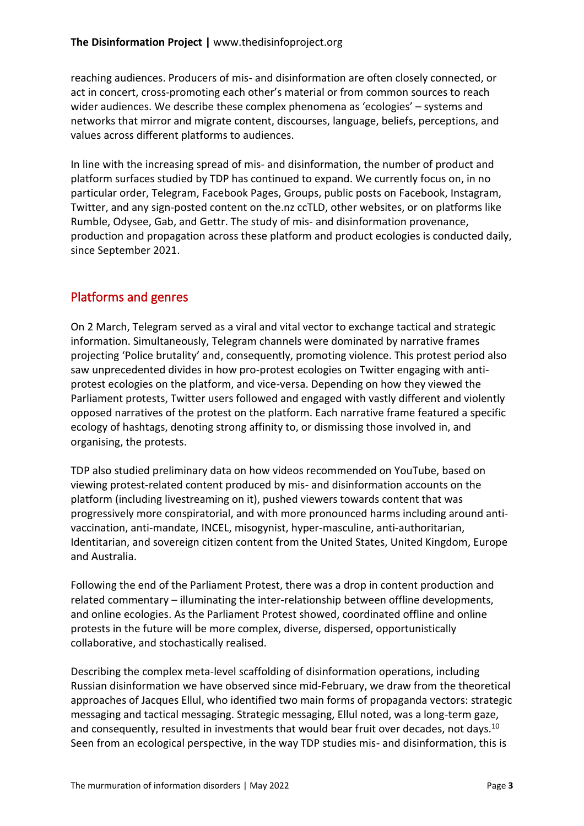reaching audiences. Producers of mis- and disinformation are often closely connected, or act in concert, cross-promoting each other's material or from common sources to reach wider audiences. We describe these complex phenomena as 'ecologies' – systems and networks that mirror and migrate content, discourses, language, beliefs, perceptions, and values across different platforms to audiences.

In line with the increasing spread of mis- and disinformation, the number of product and platform surfaces studied by TDP has continued to expand. We currently focus on, in no particular order, Telegram, Facebook Pages, Groups, public posts on Facebook, Instagram, Twitter, and any sign-posted content on the.nz ccTLD, other websites, or on platforms like Rumble, Odysee, Gab, and Gettr. The study of mis- and disinformation provenance, production and propagation across these platform and product ecologies is conducted daily, since September 2021.

### Platforms and genres

On 2 March, Telegram served as a viral and vital vector to exchange tactical and strategic information. Simultaneously, Telegram channels were dominated by narrative frames projecting 'Police brutality' and, consequently, promoting violence. This protest period also saw unprecedented divides in how pro-protest ecologies on Twitter engaging with antiprotest ecologies on the platform, and vice-versa. Depending on how they viewed the Parliament protests, Twitter users followed and engaged with vastly different and violently opposed narratives of the protest on the platform. Each narrative frame featured a specific ecology of hashtags, denoting strong affinity to, or dismissing those involved in, and organising, the protests.

TDP also studied preliminary data on how videos recommended on YouTube, based on viewing protest-related content produced by mis- and disinformation accounts on the platform (including livestreaming on it), pushed viewers towards content that was progressively more conspiratorial, and with more pronounced harms including around antivaccination, anti-mandate, INCEL, misogynist, hyper-masculine, anti-authoritarian, Identitarian, and sovereign citizen content from the United States, United Kingdom, Europe and Australia.

Following the end of the Parliament Protest, there was a drop in content production and related commentary – illuminating the inter-relationship between offline developments, and online ecologies. As the Parliament Protest showed, coordinated offline and online protests in the future will be more complex, diverse, dispersed, opportunistically collaborative, and stochastically realised.

Describing the complex meta-level scaffolding of disinformation operations, including Russian disinformation we have observed since mid-February, we draw from the theoretical approaches of Jacques Ellul, who identified two main forms of propaganda vectors: strategic messaging and tactical messaging. Strategic messaging, Ellul noted, was a long-term gaze, and consequently, resulted in investments that would bear fruit over decades, not days.<sup>10</sup> Seen from an ecological perspective, in the way TDP studies mis- and disinformation, this is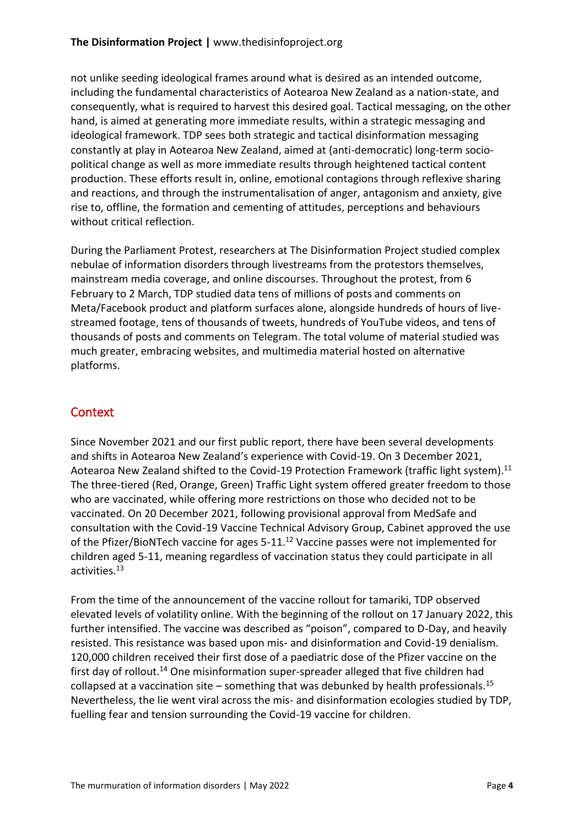not unlike seeding ideological frames around what is desired as an intended outcome, including the fundamental characteristics of Aotearoa New Zealand as a nation-state, and consequently, what is required to harvest this desired goal. Tactical messaging, on the other hand, is aimed at generating more immediate results, within a strategic messaging and ideological framework. TDP sees both strategic and tactical disinformation messaging constantly at play in Aotearoa New Zealand, aimed at (anti-democratic) long-term sociopolitical change as well as more immediate results through heightened tactical content production. These efforts result in, online, emotional contagions through reflexive sharing and reactions, and through the instrumentalisation of anger, antagonism and anxiety, give rise to, offline, the formation and cementing of attitudes, perceptions and behaviours without critical reflection.

During the Parliament Protest, researchers at The Disinformation Project studied complex nebulae of information disorders through livestreams from the protestors themselves, mainstream media coverage, and online discourses. Throughout the protest, from 6 February to 2 March, TDP studied data tens of millions of posts and comments on Meta/Facebook product and platform surfaces alone, alongside hundreds of hours of livestreamed footage, tens of thousands of tweets, hundreds of YouTube videos, and tens of thousands of posts and comments on Telegram. The total volume of material studied was much greater, embracing websites, and multimedia material hosted on alternative platforms.

### **Context**

Since November 2021 and our first public report, there have been several developments and shifts in Aotearoa New Zealand's experience with Covid-19. On 3 December 2021, Aotearoa New Zealand shifted to the Covid-19 Protection Framework (traffic light system). $^{11}$ The three-tiered (Red, Orange, Green) Traffic Light system offered greater freedom to those who are vaccinated, while offering more restrictions on those who decided not to be vaccinated. On 20 December 2021, following provisional approval from MedSafe and consultation with the Covid-19 Vaccine Technical Advisory Group, Cabinet approved the use of the Pfizer/BioNTech vaccine for ages 5-11.<sup>12</sup> Vaccine passes were not implemented for children aged 5-11, meaning regardless of vaccination status they could participate in all activities.<sup>13</sup>

From the time of the announcement of the vaccine rollout for tamariki, TDP observed elevated levels of volatility online. With the beginning of the rollout on 17 January 2022, this further intensified. The vaccine was described as "poison", compared to D-Day, and heavily resisted. This resistance was based upon mis- and disinformation and Covid-19 denialism. 120,000 children received their first dose of a paediatric dose of the Pfizer vaccine on the first day of rollout.<sup>14</sup> One misinformation super-spreader alleged that five children had collapsed at a vaccination site – something that was debunked by health professionals.<sup>15</sup> Nevertheless, the lie went viral across the mis- and disinformation ecologies studied by TDP, fuelling fear and tension surrounding the Covid-19 vaccine for children.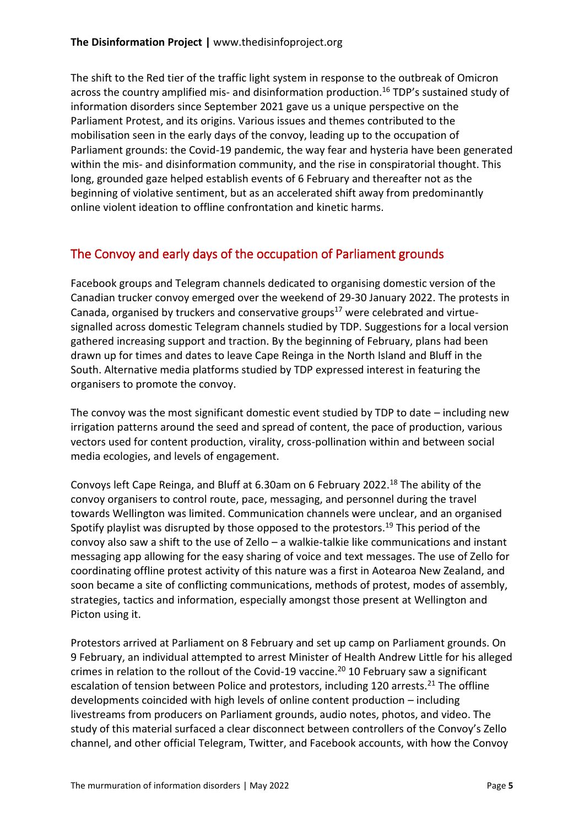The shift to the Red tier of the traffic light system in response to the outbreak of Omicron across the country amplified mis- and disinformation production.<sup>16</sup> TDP's sustained study of information disorders since September 2021 gave us a unique perspective on the Parliament Protest, and its origins. Various issues and themes contributed to the mobilisation seen in the early days of the convoy, leading up to the occupation of Parliament grounds: the Covid-19 pandemic, the way fear and hysteria have been generated within the mis- and disinformation community, and the rise in conspiratorial thought. This long, grounded gaze helped establish events of 6 February and thereafter not as the beginning of violative sentiment, but as an accelerated shift away from predominantly online violent ideation to offline confrontation and kinetic harms.

# The Convoy and early days of the occupation of Parliament grounds

Facebook groups and Telegram channels dedicated to organising domestic version of the Canadian trucker convoy emerged over the weekend of 29-30 January 2022. The protests in Canada, organised by truckers and conservative groups $^{17}$  were celebrated and virtuesignalled across domestic Telegram channels studied by TDP. Suggestions for a local version gathered increasing support and traction. By the beginning of February, plans had been drawn up for times and dates to leave Cape Reinga in the North Island and Bluff in the South. Alternative media platforms studied by TDP expressed interest in featuring the organisers to promote the convoy.

The convoy was the most significant domestic event studied by TDP to date – including new irrigation patterns around the seed and spread of content, the pace of production, various vectors used for content production, virality, cross-pollination within and between social media ecologies, and levels of engagement.

Convoys left Cape Reinga, and Bluff at 6.30am on 6 February 2022.<sup>18</sup> The ability of the convoy organisers to control route, pace, messaging, and personnel during the travel towards Wellington was limited. Communication channels were unclear, and an organised Spotify playlist was disrupted by those opposed to the protestors.<sup>19</sup> This period of the convoy also saw a shift to the use of Zello – a walkie-talkie like communications and instant messaging app allowing for the easy sharing of voice and text messages. The use of Zello for coordinating offline protest activity of this nature was a first in Aotearoa New Zealand, and soon became a site of conflicting communications, methods of protest, modes of assembly, strategies, tactics and information, especially amongst those present at Wellington and Picton using it.

Protestors arrived at Parliament on 8 February and set up camp on Parliament grounds. On 9 February, an individual attempted to arrest Minister of Health Andrew Little for his alleged crimes in relation to the rollout of the Covid-19 vaccine.<sup>20</sup> 10 February saw a significant escalation of tension between Police and protestors, including 120 arrests.<sup>21</sup> The offline developments coincided with high levels of online content production – including livestreams from producers on Parliament grounds, audio notes, photos, and video. The study of this material surfaced a clear disconnect between controllers of the Convoy's Zello channel, and other official Telegram, Twitter, and Facebook accounts, with how the Convoy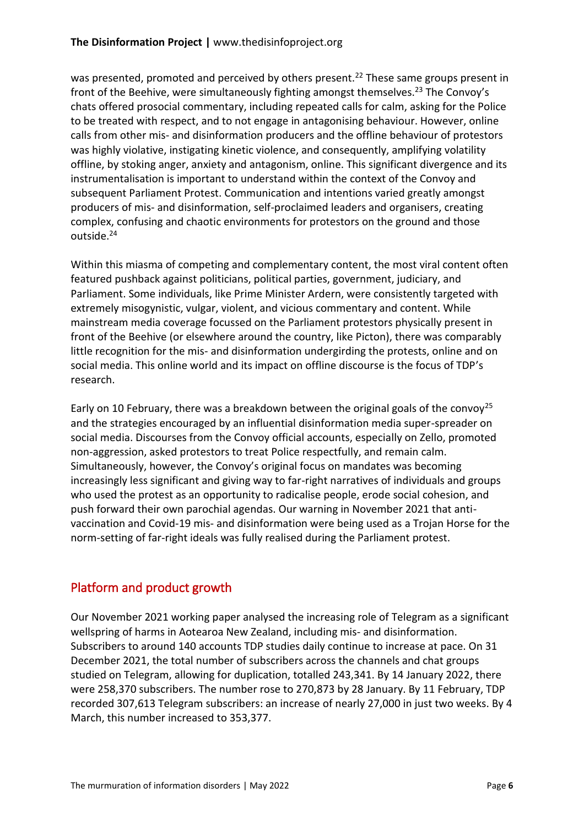was presented, promoted and perceived by others present.<sup>22</sup> These same groups present in front of the Beehive, were simultaneously fighting amongst themselves.<sup>23</sup> The Convoy's chats offered prosocial commentary, including repeated calls for calm, asking for the Police to be treated with respect, and to not engage in antagonising behaviour. However, online calls from other mis- and disinformation producers and the offline behaviour of protestors was highly violative, instigating kinetic violence, and consequently, amplifying volatility offline, by stoking anger, anxiety and antagonism, online. This significant divergence and its instrumentalisation is important to understand within the context of the Convoy and subsequent Parliament Protest. Communication and intentions varied greatly amongst producers of mis- and disinformation, self-proclaimed leaders and organisers, creating complex, confusing and chaotic environments for protestors on the ground and those outside.<sup>24</sup>

Within this miasma of competing and complementary content, the most viral content often featured pushback against politicians, political parties, government, judiciary, and Parliament. Some individuals, like Prime Minister Ardern, were consistently targeted with extremely misogynistic, vulgar, violent, and vicious commentary and content. While mainstream media coverage focussed on the Parliament protestors physically present in front of the Beehive (or elsewhere around the country, like Picton), there was comparably little recognition for the mis- and disinformation undergirding the protests, online and on social media. This online world and its impact on offline discourse is the focus of TDP's research.

Early on 10 February, there was a breakdown between the original goals of the convoy<sup>25</sup> and the strategies encouraged by an influential disinformation media super-spreader on social media. Discourses from the Convoy official accounts, especially on Zello, promoted non-aggression, asked protestors to treat Police respectfully, and remain calm. Simultaneously, however, the Convoy's original focus on mandates was becoming increasingly less significant and giving way to far-right narratives of individuals and groups who used the protest as an opportunity to radicalise people, erode social cohesion, and push forward their own parochial agendas. Our warning in November 2021 that antivaccination and Covid-19 mis- and disinformation were being used as a Trojan Horse for the norm-setting of far-right ideals was fully realised during the Parliament protest.

# Platform and product growth

Our November 2021 working paper analysed the increasing role of Telegram as a significant wellspring of harms in Aotearoa New Zealand, including mis- and disinformation. Subscribers to around 140 accounts TDP studies daily continue to increase at pace. On 31 December 2021, the total number of subscribers across the channels and chat groups studied on Telegram, allowing for duplication, totalled 243,341. By 14 January 2022, there were 258,370 subscribers. The number rose to 270,873 by 28 January. By 11 February, TDP recorded 307,613 Telegram subscribers: an increase of nearly 27,000 in just two weeks. By 4 March, this number increased to 353,377.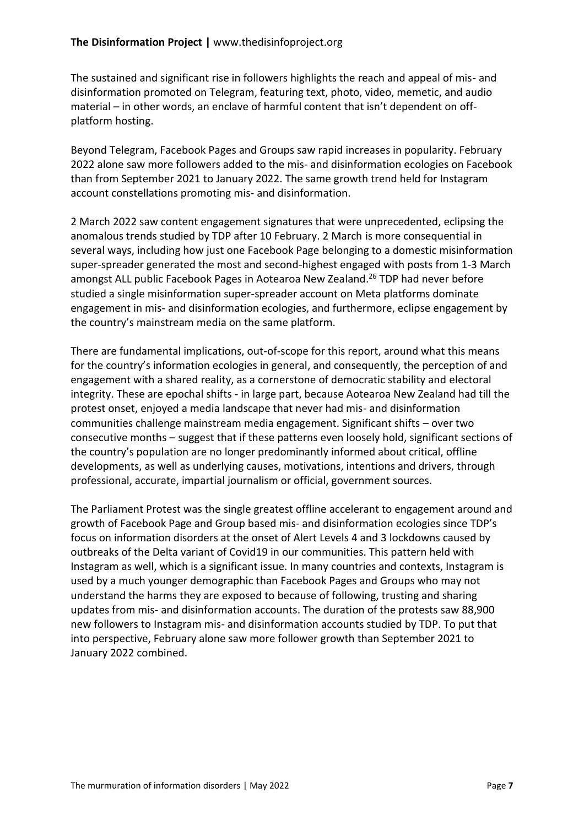The sustained and significant rise in followers highlights the reach and appeal of mis- and disinformation promoted on Telegram, featuring text, photo, video, memetic, and audio material – in other words, an enclave of harmful content that isn't dependent on offplatform hosting.

Beyond Telegram, Facebook Pages and Groups saw rapid increases in popularity. February 2022 alone saw more followers added to the mis- and disinformation ecologies on Facebook than from September 2021 to January 2022. The same growth trend held for Instagram account constellations promoting mis- and disinformation.

2 March 2022 saw content engagement signatures that were unprecedented, eclipsing the anomalous trends studied by TDP after 10 February. 2 March is more consequential in several ways, including how just one Facebook Page belonging to a domestic misinformation super-spreader generated the most and second-highest engaged with posts from 1-3 March amongst ALL public Facebook Pages in Aotearoa New Zealand.<sup>26</sup> TDP had never before studied a single misinformation super-spreader account on Meta platforms dominate engagement in mis- and disinformation ecologies, and furthermore, eclipse engagement by the country's mainstream media on the same platform.

There are fundamental implications, out-of-scope for this report, around what this means for the country's information ecologies in general, and consequently, the perception of and engagement with a shared reality, as a cornerstone of democratic stability and electoral integrity. These are epochal shifts - in large part, because Aotearoa New Zealand had till the protest onset, enjoyed a media landscape that never had mis- and disinformation communities challenge mainstream media engagement. Significant shifts – over two consecutive months – suggest that if these patterns even loosely hold, significant sections of the country's population are no longer predominantly informed about critical, offline developments, as well as underlying causes, motivations, intentions and drivers, through professional, accurate, impartial journalism or official, government sources.

The Parliament Protest was the single greatest offline accelerant to engagement around and growth of Facebook Page and Group based mis- and disinformation ecologies since TDP's focus on information disorders at the onset of Alert Levels 4 and 3 lockdowns caused by outbreaks of the Delta variant of Covid19 in our communities. This pattern held with Instagram as well, which is a significant issue. In many countries and contexts, Instagram is used by a much younger demographic than Facebook Pages and Groups who may not understand the harms they are exposed to because of following, trusting and sharing updates from mis- and disinformation accounts. The duration of the protests saw 88,900 new followers to Instagram mis- and disinformation accounts studied by TDP. To put that into perspective, February alone saw more follower growth than September 2021 to January 2022 combined.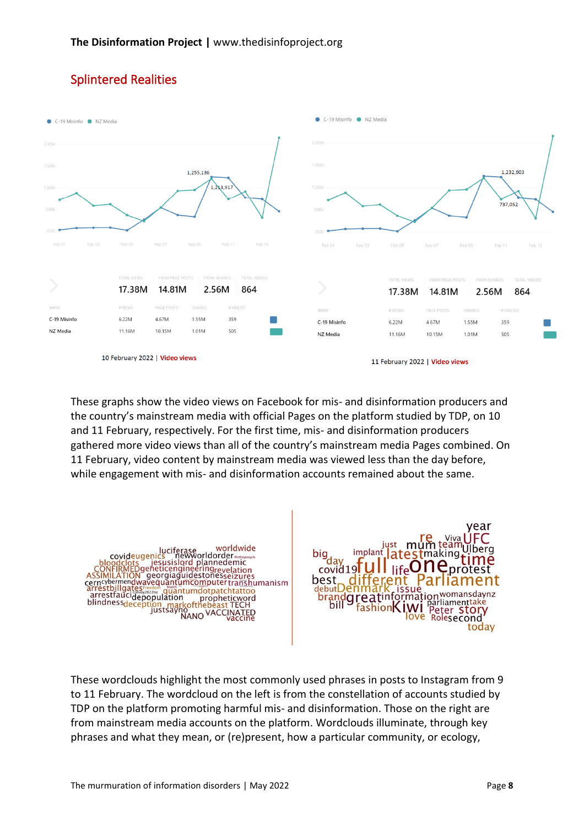

# Splintered Realities

These graphs show the video views on Facebook for mis- and disinformation producers and the country's mainstream media with official Pages on the platform studied by TDP, on 10 and 11 February, respectively. For the first time, mis- and disinformation producers gathered more video views than all of the country's mainstream media Pages combined. On 11 February, video content by mainstream media was viewed less than the day before, while engagement with mis- and disinformation accounts remained about the same.



These wordclouds highlight the most commonly used phrases in posts to Instagram from 9 to 11 February. The wordcloud on the left is from the constellation of accounts studied by TDP on the platform promoting harmful mis- and disinformation. Those on the right are from mainstream media accounts on the platform. Wordclouds illuminate, through key phrases and what they mean, or (re)present, how a particular community, or ecology,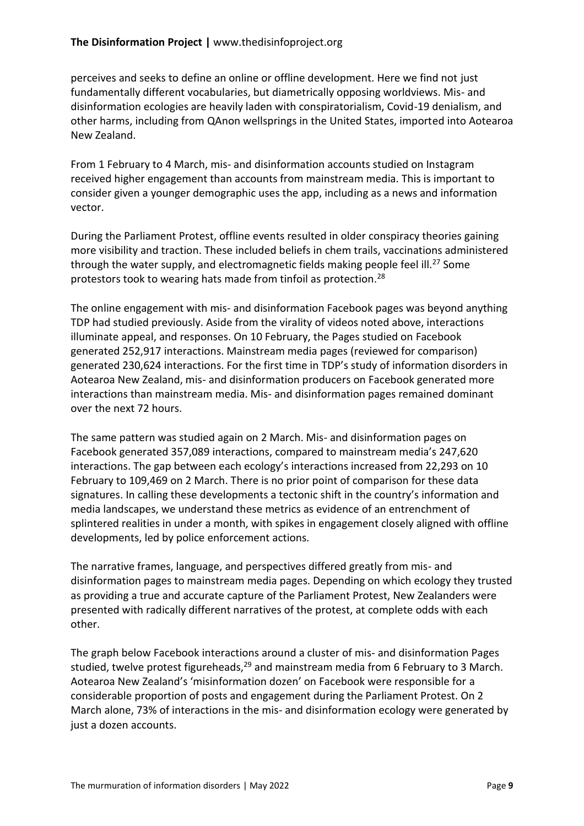perceives and seeks to define an online or offline development. Here we find not just fundamentally different vocabularies, but diametrically opposing worldviews. Mis- and disinformation ecologies are heavily laden with conspiratorialism, Covid-19 denialism, and other harms, including from QAnon wellsprings in the United States, imported into Aotearoa New Zealand.

From 1 February to 4 March, mis- and disinformation accounts studied on Instagram received higher engagement than accounts from mainstream media. This is important to consider given a younger demographic uses the app, including as a news and information vector.

During the Parliament Protest, offline events resulted in older conspiracy theories gaining more visibility and traction. These included beliefs in chem trails, vaccinations administered through the water supply, and electromagnetic fields making people feel ill.<sup>27</sup> Some protestors took to wearing hats made from tinfoil as protection.<sup>28</sup>

The online engagement with mis- and disinformation Facebook pages was beyond anything TDP had studied previously. Aside from the virality of videos noted above, interactions illuminate appeal, and responses. On 10 February, the Pages studied on Facebook generated 252,917 interactions. Mainstream media pages (reviewed for comparison) generated 230,624 interactions. For the first time in TDP's study of information disorders in Aotearoa New Zealand, mis- and disinformation producers on Facebook generated more interactions than mainstream media. Mis- and disinformation pages remained dominant over the next 72 hours.

The same pattern was studied again on 2 March. Mis- and disinformation pages on Facebook generated 357,089 interactions, compared to mainstream media's 247,620 interactions. The gap between each ecology's interactions increased from 22,293 on 10 February to 109,469 on 2 March. There is no prior point of comparison for these data signatures. In calling these developments a tectonic shift in the country's information and media landscapes, we understand these metrics as evidence of an entrenchment of splintered realities in under a month, with spikes in engagement closely aligned with offline developments, led by police enforcement actions.

The narrative frames, language, and perspectives differed greatly from mis- and disinformation pages to mainstream media pages. Depending on which ecology they trusted as providing a true and accurate capture of the Parliament Protest, New Zealanders were presented with radically different narratives of the protest, at complete odds with each other.

The graph below Facebook interactions around a cluster of mis- and disinformation Pages studied, twelve protest figureheads,  $29$  and mainstream media from 6 February to 3 March. Aotearoa New Zealand's 'misinformation dozen' on Facebook were responsible for a considerable proportion of posts and engagement during the Parliament Protest. On 2 March alone, 73% of interactions in the mis- and disinformation ecology were generated by just a dozen accounts.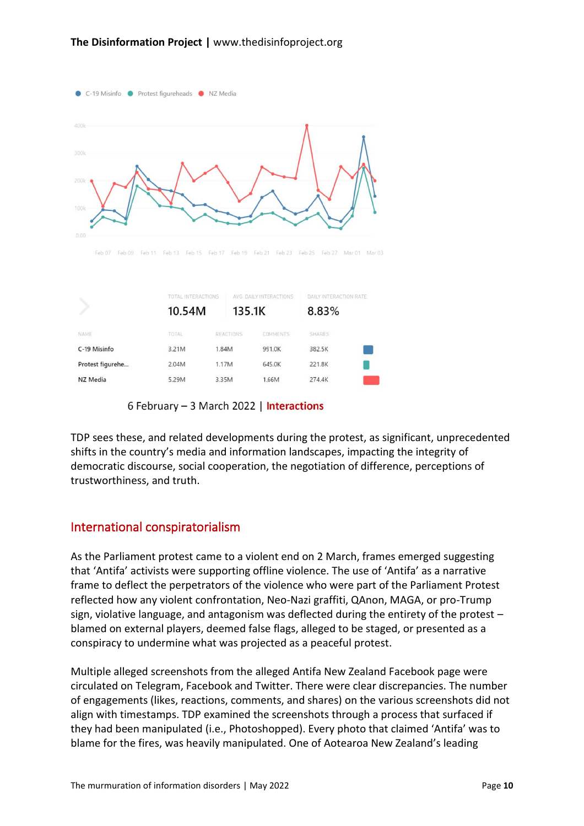

|                  | TOTAL INTERACTIONS<br>10.54M | 135.1K           | AVG. DAILY INTERACTIONS | DAILY INTERACTION RATE<br>8.83% |  |
|------------------|------------------------------|------------------|-------------------------|---------------------------------|--|
| NAME             | TOTAL                        | <b>REACTIONS</b> | COMMENTS                | <b>SHARES</b>                   |  |
| C-19 Misinfo     | 3.21M                        | 1.84M            | 991.0K                  | 382.5K                          |  |
| Protest figurehe | 2.04M                        | 1.17M            | 645.0K                  | 221.8K                          |  |
| NZ Media         | 5.29M                        | 3.35M            | 1.66M                   | 274.4K                          |  |
|                  |                              |                  |                         |                                 |  |

6 February - 3 March 2022 | Interactions

TDP sees these, and related developments during the protest, as significant, unprecedented shifts in the country's media and information landscapes, impacting the integrity of democratic discourse, social cooperation, the negotiation of difference, perceptions of trustworthiness, and truth.

#### International conspiratorialism

As the Parliament protest came to a violent end on 2 March, frames emerged suggesting that 'Antifa' activists were supporting offline violence. The use of 'Antifa' as a narrative frame to deflect the perpetrators of the violence who were part of the Parliament Protest reflected how any violent confrontation, Neo-Nazi graffiti, QAnon, MAGA, or pro-Trump sign, violative language, and antagonism was deflected during the entirety of the protest – blamed on external players, deemed false flags, alleged to be staged, or presented as a conspiracy to undermine what was projected as a peaceful protest.

Multiple alleged screenshots from the alleged Antifa New Zealand Facebook page were circulated on Telegram, Facebook and Twitter. There were clear discrepancies. The number of engagements (likes, reactions, comments, and shares) on the various screenshots did not align with timestamps. TDP examined the screenshots through a process that surfaced if they had been manipulated (i.e., Photoshopped). Every photo that claimed 'Antifa' was to blame for the fires, was heavily manipulated. One of Aotearoa New Zealand's leading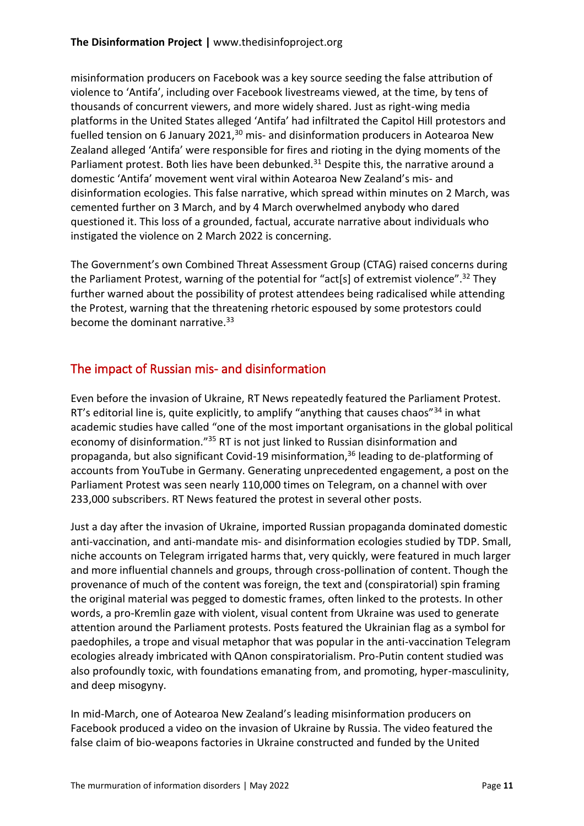misinformation producers on Facebook was a key source seeding the false attribution of violence to 'Antifa', including over Facebook livestreams viewed, at the time, by tens of thousands of concurrent viewers, and more widely shared. Just as right-wing media platforms in the United States alleged 'Antifa' had infiltrated the Capitol Hill protestors and fuelled tension on 6 January 2021, $30$  mis- and disinformation producers in Aotearoa New Zealand alleged 'Antifa' were responsible for fires and rioting in the dying moments of the Parliament protest. Both lies have been debunked.<sup>31</sup> Despite this, the narrative around a domestic 'Antifa' movement went viral within Aotearoa New Zealand's mis- and disinformation ecologies. This false narrative, which spread within minutes on 2 March, was cemented further on 3 March, and by 4 March overwhelmed anybody who dared questioned it. This loss of a grounded, factual, accurate narrative about individuals who instigated the violence on 2 March 2022 is concerning.

The Government's own Combined Threat Assessment Group (CTAG) raised concerns during the Parliament Protest, warning of the potential for "act[s] of extremist violence".<sup>32</sup> They further warned about the possibility of protest attendees being radicalised while attending the Protest, warning that the threatening rhetoric espoused by some protestors could become the dominant narrative.<sup>33</sup>

### The impact of Russian mis- and disinformation

Even before the invasion of Ukraine, RT News repeatedly featured the Parliament Protest. RT's editorial line is, quite explicitly, to amplify "anything that causes chaos" $34$  in what academic studies have called "one of the most important organisations in the global political economy of disinformation."<sup>35</sup> RT is not just linked to Russian disinformation and propaganda, but also significant Covid-19 misinformation,<sup>36</sup> leading to de-platforming of accounts from YouTube in Germany. Generating unprecedented engagement, a post on the Parliament Protest was seen nearly 110,000 times on Telegram, on a channel with over 233,000 subscribers. RT News featured the protest in several other posts.

Just a day after the invasion of Ukraine, imported Russian propaganda dominated domestic anti-vaccination, and anti-mandate mis- and disinformation ecologies studied by TDP. Small, niche accounts on Telegram irrigated harms that, very quickly, were featured in much larger and more influential channels and groups, through cross-pollination of content. Though the provenance of much of the content was foreign, the text and (conspiratorial) spin framing the original material was pegged to domestic frames, often linked to the protests. In other words, a pro-Kremlin gaze with violent, visual content from Ukraine was used to generate attention around the Parliament protests. Posts featured the Ukrainian flag as a symbol for paedophiles, a trope and visual metaphor that was popular in the anti-vaccination Telegram ecologies already imbricated with QAnon conspiratorialism. Pro-Putin content studied was also profoundly toxic, with foundations emanating from, and promoting, hyper-masculinity, and deep misogyny.

In mid-March, one of Aotearoa New Zealand's leading misinformation producers on Facebook produced a video on the invasion of Ukraine by Russia. The video featured the false claim of bio-weapons factories in Ukraine constructed and funded by the United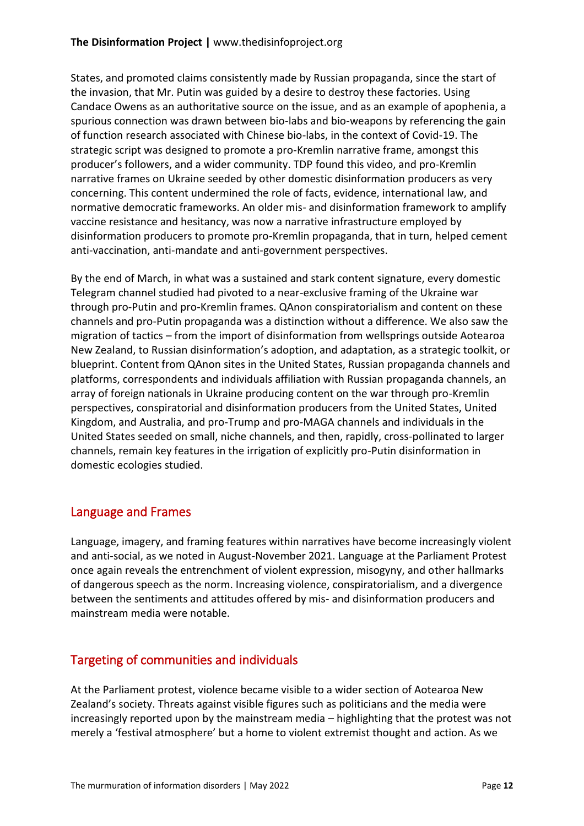States, and promoted claims consistently made by Russian propaganda, since the start of the invasion, that Mr. Putin was guided by a desire to destroy these factories. Using Candace Owens as an authoritative source on the issue, and as an example of apophenia, a spurious connection was drawn between bio-labs and bio-weapons by referencing the gain of function research associated with Chinese bio-labs, in the context of Covid-19. The strategic script was designed to promote a pro-Kremlin narrative frame, amongst this producer's followers, and a wider community. TDP found this video, and pro-Kremlin narrative frames on Ukraine seeded by other domestic disinformation producers as very concerning. This content undermined the role of facts, evidence, international law, and normative democratic frameworks. An older mis- and disinformation framework to amplify vaccine resistance and hesitancy, was now a narrative infrastructure employed by disinformation producers to promote pro-Kremlin propaganda, that in turn, helped cement anti-vaccination, anti-mandate and anti-government perspectives.

By the end of March, in what was a sustained and stark content signature, every domestic Telegram channel studied had pivoted to a near-exclusive framing of the Ukraine war through pro-Putin and pro-Kremlin frames. QAnon conspiratorialism and content on these channels and pro-Putin propaganda was a distinction without a difference. We also saw the migration of tactics – from the import of disinformation from wellsprings outside Aotearoa New Zealand, to Russian disinformation's adoption, and adaptation, as a strategic toolkit, or blueprint. Content from QAnon sites in the United States, Russian propaganda channels and platforms, correspondents and individuals affiliation with Russian propaganda channels, an array of foreign nationals in Ukraine producing content on the war through pro-Kremlin perspectives, conspiratorial and disinformation producers from the United States, United Kingdom, and Australia, and pro-Trump and pro-MAGA channels and individuals in the United States seeded on small, niche channels, and then, rapidly, cross-pollinated to larger channels, remain key features in the irrigation of explicitly pro-Putin disinformation in domestic ecologies studied.

# Language and Frames

Language, imagery, and framing features within narratives have become increasingly violent and anti-social, as we noted in August-November 2021. Language at the Parliament Protest once again reveals the entrenchment of violent expression, misogyny, and other hallmarks of dangerous speech as the norm. Increasing violence, conspiratorialism, and a divergence between the sentiments and attitudes offered by mis- and disinformation producers and mainstream media were notable.

#### Targeting of communities and individuals

At the Parliament protest, violence became visible to a wider section of Aotearoa New Zealand's society. Threats against visible figures such as politicians and the media were increasingly reported upon by the mainstream media – highlighting that the protest was not merely a 'festival atmosphere' but a home to violent extremist thought and action. As we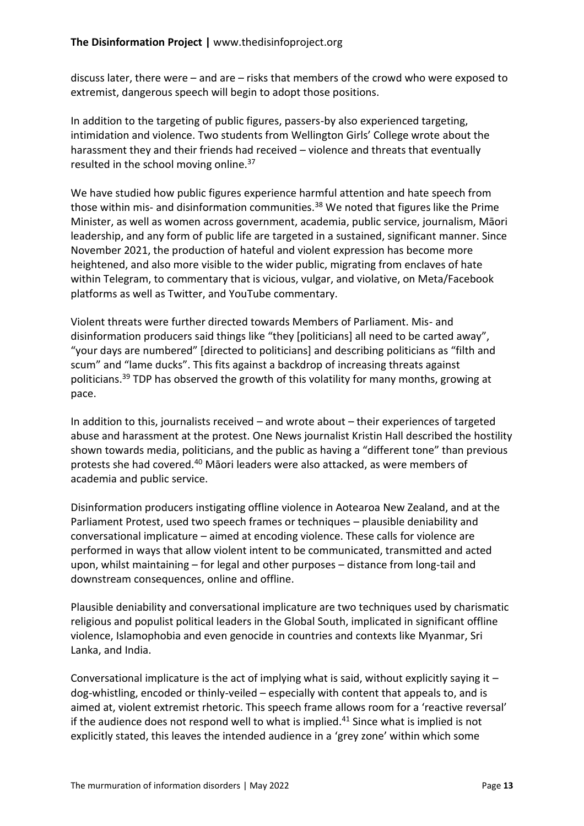discuss later, there were – and are – risks that members of the crowd who were exposed to extremist, dangerous speech will begin to adopt those positions.

In addition to the targeting of public figures, passers-by also experienced targeting, intimidation and violence. Two students from Wellington Girls' College wrote about the harassment they and their friends had received – violence and threats that eventually resulted in the school moving online.<sup>37</sup>

We have studied how public figures experience harmful attention and hate speech from those within mis- and disinformation communities.<sup>38</sup> We noted that figures like the Prime Minister, as well as women across government, academia, public service, journalism, Māori leadership, and any form of public life are targeted in a sustained, significant manner. Since November 2021, the production of hateful and violent expression has become more heightened, and also more visible to the wider public, migrating from enclaves of hate within Telegram, to commentary that is vicious, vulgar, and violative, on Meta/Facebook platforms as well as Twitter, and YouTube commentary.

Violent threats were further directed towards Members of Parliament. Mis- and disinformation producers said things like "they [politicians] all need to be carted away", "your days are numbered" [directed to politicians] and describing politicians as "filth and scum" and "lame ducks". This fits against a backdrop of increasing threats against politicians.<sup>39</sup> TDP has observed the growth of this volatility for many months, growing at pace.

In addition to this, journalists received – and wrote about – their experiences of targeted abuse and harassment at the protest. One News journalist Kristin Hall described the hostility shown towards media, politicians, and the public as having a "different tone" than previous protests she had covered.<sup>40</sup> Māori leaders were also attacked, as were members of academia and public service.

Disinformation producers instigating offline violence in Aotearoa New Zealand, and at the Parliament Protest, used two speech frames or techniques – plausible deniability and conversational implicature – aimed at encoding violence. These calls for violence are performed in ways that allow violent intent to be communicated, transmitted and acted upon, whilst maintaining – for legal and other purposes – distance from long-tail and downstream consequences, online and offline.

Plausible deniability and conversational implicature are two techniques used by charismatic religious and populist political leaders in the Global South, implicated in significant offline violence, Islamophobia and even genocide in countries and contexts like Myanmar, Sri Lanka, and India.

Conversational implicature is the act of implying what is said, without explicitly saying it  $$ dog-whistling, encoded or thinly-veiled – especially with content that appeals to, and is aimed at, violent extremist rhetoric. This speech frame allows room for a 'reactive reversal' if the audience does not respond well to what is implied.<sup>41</sup> Since what is implied is not explicitly stated, this leaves the intended audience in a 'grey zone' within which some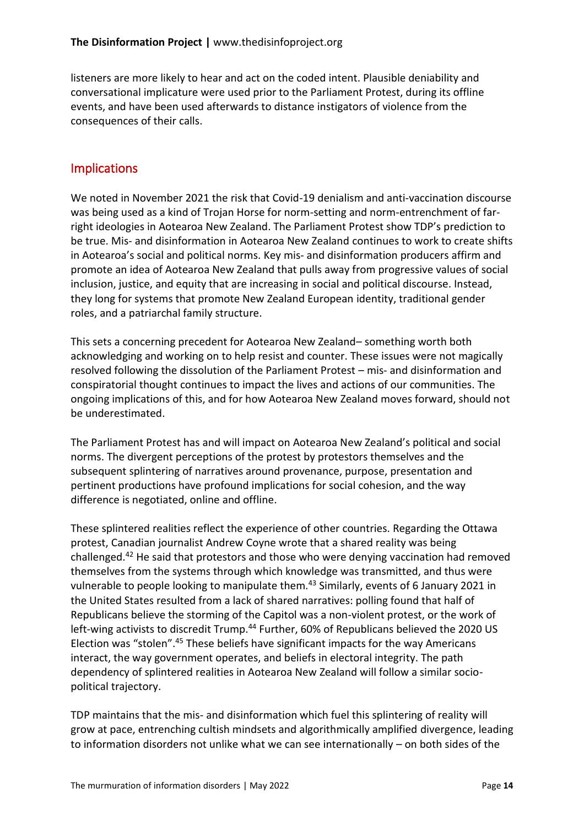listeners are more likely to hear and act on the coded intent. Plausible deniability and conversational implicature were used prior to the Parliament Protest, during its offline events, and have been used afterwards to distance instigators of violence from the consequences of their calls.

#### Implications

We noted in November 2021 the risk that Covid-19 denialism and anti-vaccination discourse was being used as a kind of Trojan Horse for norm-setting and norm-entrenchment of farright ideologies in Aotearoa New Zealand. The Parliament Protest show TDP's prediction to be true. Mis- and disinformation in Aotearoa New Zealand continues to work to create shifts in Aotearoa's social and political norms. Key mis- and disinformation producers affirm and promote an idea of Aotearoa New Zealand that pulls away from progressive values of social inclusion, justice, and equity that are increasing in social and political discourse. Instead, they long for systems that promote New Zealand European identity, traditional gender roles, and a patriarchal family structure.

This sets a concerning precedent for Aotearoa New Zealand– something worth both acknowledging and working on to help resist and counter. These issues were not magically resolved following the dissolution of the Parliament Protest – mis- and disinformation and conspiratorial thought continues to impact the lives and actions of our communities. The ongoing implications of this, and for how Aotearoa New Zealand moves forward, should not be underestimated.

The Parliament Protest has and will impact on Aotearoa New Zealand's political and social norms. The divergent perceptions of the protest by protestors themselves and the subsequent splintering of narratives around provenance, purpose, presentation and pertinent productions have profound implications for social cohesion, and the way difference is negotiated, online and offline.

These splintered realities reflect the experience of other countries. Regarding the Ottawa protest, Canadian journalist Andrew Coyne wrote that a shared reality was being challenged.<sup>42</sup> He said that protestors and those who were denying vaccination had removed themselves from the systems through which knowledge was transmitted, and thus were vulnerable to people looking to manipulate them.<sup>43</sup> Similarly, events of 6 January 2021 in the United States resulted from a lack of shared narratives: polling found that half of Republicans believe the storming of the Capitol was a non-violent protest, or the work of left-wing activists to discredit Trump.<sup>44</sup> Further, 60% of Republicans believed the 2020 US Election was "stolen".<sup>45</sup> These beliefs have significant impacts for the way Americans interact, the way government operates, and beliefs in electoral integrity. The path dependency of splintered realities in Aotearoa New Zealand will follow a similar sociopolitical trajectory.

TDP maintains that the mis- and disinformation which fuel this splintering of reality will grow at pace, entrenching cultish mindsets and algorithmically amplified divergence, leading to information disorders not unlike what we can see internationally – on both sides of the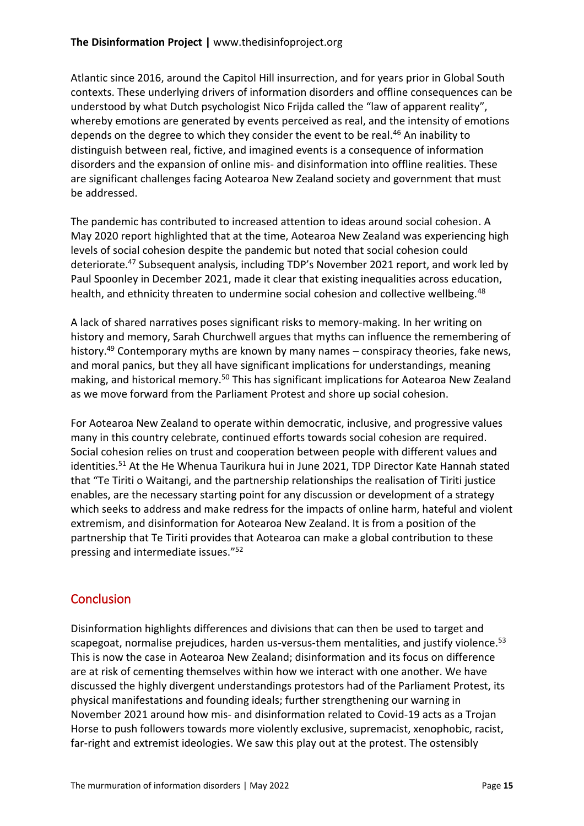#### **The Disinformation Project |** www.thedisinfoproject.org

Atlantic since 2016, around the Capitol Hill insurrection, and for years prior in Global South contexts. These underlying drivers of information disorders and offline consequences can be understood by what Dutch psychologist Nico Frijda called the "law of apparent reality", whereby emotions are generated by events perceived as real, and the intensity of emotions depends on the degree to which they consider the event to be real.<sup>46</sup> An inability to distinguish between real, fictive, and imagined events is a consequence of information disorders and the expansion of online mis- and disinformation into offline realities. These are significant challenges facing Aotearoa New Zealand society and government that must be addressed.

The pandemic has contributed to increased attention to ideas around social cohesion. A May 2020 report highlighted that at the time, Aotearoa New Zealand was experiencing high levels of social cohesion despite the pandemic but noted that social cohesion could deteriorate.<sup>47</sup> Subsequent analysis, including TDP's November 2021 report, and work led by Paul Spoonley in December 2021, made it clear that existing inequalities across education, health, and ethnicity threaten to undermine social cohesion and collective wellbeing.<sup>48</sup>

A lack of shared narratives poses significant risks to memory-making. In her writing on history and memory, Sarah Churchwell argues that myths can influence the remembering of history.<sup>49</sup> Contemporary myths are known by many names – conspiracy theories, fake news, and moral panics, but they all have significant implications for understandings, meaning making, and historical memory.<sup>50</sup> This has significant implications for Aotearoa New Zealand as we move forward from the Parliament Protest and shore up social cohesion.

For Aotearoa New Zealand to operate within democratic, inclusive, and progressive values many in this country celebrate, continued efforts towards social cohesion are required. Social cohesion relies on trust and cooperation between people with different values and identities.<sup>51</sup> At the He Whenua Taurikura hui in June 2021, TDP Director Kate Hannah stated that "Te Tiriti o Waitangi, and the partnership relationships the realisation of Tiriti justice enables, are the necessary starting point for any discussion or development of a strategy which seeks to address and make redress for the impacts of online harm, hateful and violent extremism, and disinformation for Aotearoa New Zealand. It is from a position of the partnership that Te Tiriti provides that Aotearoa can make a global contribution to these pressing and intermediate issues." 52

#### **Conclusion**

Disinformation highlights differences and divisions that can then be used to target and scapegoat, normalise prejudices, harden us-versus-them mentalities, and justify violence.<sup>53</sup> This is now the case in Aotearoa New Zealand; disinformation and its focus on difference are at risk of cementing themselves within how we interact with one another. We have discussed the highly divergent understandings protestors had of the Parliament Protest, its physical manifestations and founding ideals; further strengthening our warning in November 2021 around how mis- and disinformation related to Covid-19 acts as a Trojan Horse to push followers towards more violently exclusive, supremacist, xenophobic, racist, far-right and extremist ideologies. We saw this play out at the protest. The ostensibly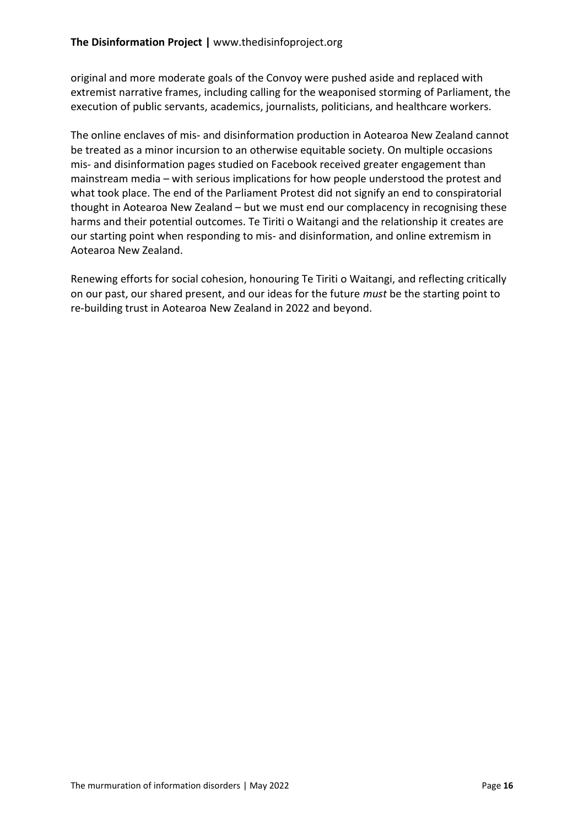original and more moderate goals of the Convoy were pushed aside and replaced with extremist narrative frames, including calling for the weaponised storming of Parliament, the execution of public servants, academics, journalists, politicians, and healthcare workers.

The online enclaves of mis- and disinformation production in Aotearoa New Zealand cannot be treated as a minor incursion to an otherwise equitable society. On multiple occasions mis- and disinformation pages studied on Facebook received greater engagement than mainstream media – with serious implications for how people understood the protest and what took place. The end of the Parliament Protest did not signify an end to conspiratorial thought in Aotearoa New Zealand – but we must end our complacency in recognising these harms and their potential outcomes. Te Tiriti o Waitangi and the relationship it creates are our starting point when responding to mis- and disinformation, and online extremism in Aotearoa New Zealand.

Renewing efforts for social cohesion, honouring Te Tiriti o Waitangi, and reflecting critically on our past, our shared present, and our ideas for the future *must* be the starting point to re-building trust in Aotearoa New Zealand in 2022 and beyond.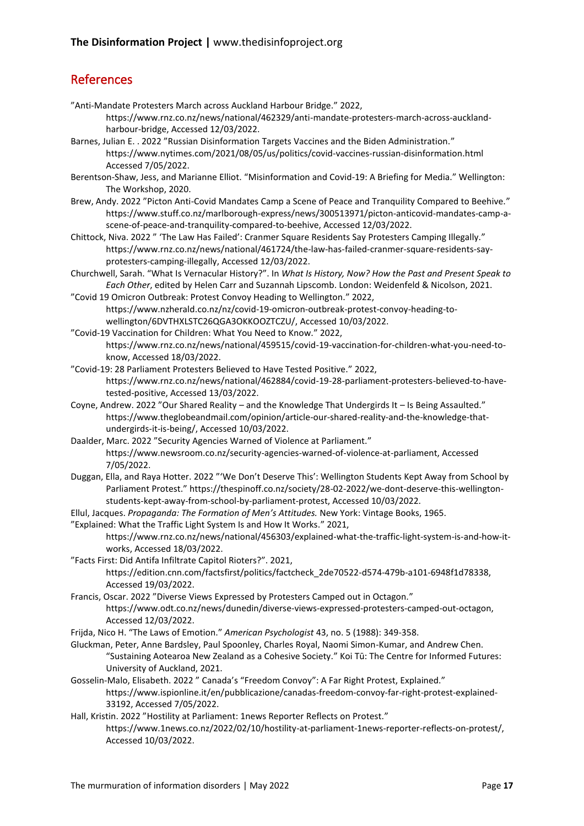# References

"Anti-Mandate Protesters March across Auckland Harbour Bridge." 2022,

https://www.rnz.co.nz/news/national/462329/anti-mandate-protesters-march-across-aucklandharbour-bridge, Accessed 12/03/2022.

Barnes, Julian E. . 2022 "Russian Disinformation Targets Vaccines and the Biden Administration." https://www.nytimes.com/2021/08/05/us/politics/covid-vaccines-russian-disinformation.html Accessed 7/05/2022.

Berentson-Shaw, Jess, and Marianne Elliot. "Misinformation and Covid-19: A Briefing for Media." Wellington: The Workshop, 2020.

Brew, Andy. 2022 "Picton Anti-Covid Mandates Camp a Scene of Peace and Tranquility Compared to Beehive." https://www.stuff.co.nz/marlborough-express/news/300513971/picton-anticovid-mandates-camp-ascene-of-peace-and-tranquility-compared-to-beehive, Accessed 12/03/2022.

Chittock, Niva. 2022 " 'The Law Has Failed': Cranmer Square Residents Say Protesters Camping Illegally." https://www.rnz.co.nz/news/national/461724/the-law-has-failed-cranmer-square-residents-sayprotesters-camping-illegally, Accessed 12/03/2022.

Churchwell, Sarah. "What Is Vernacular History?". In *What Is History, Now? How the Past and Present Speak to Each Other*, edited by Helen Carr and Suzannah Lipscomb. London: Weidenfeld & Nicolson, 2021.

- "Covid 19 Omicron Outbreak: Protest Convoy Heading to Wellington." 2022, https://www.nzherald.co.nz/nz/covid-19-omicron-outbreak-protest-convoy-heading-towellington/6DVTHXLSTC26QGA3OKKOOZTCZU/, Accessed 10/03/2022.
- "Covid-19 Vaccination for Children: What You Need to Know." 2022, https://www.rnz.co.nz/news/national/459515/covid-19-vaccination-for-children-what-you-need-toknow, Accessed 18/03/2022.
- "Covid-19: 28 Parliament Protesters Believed to Have Tested Positive." 2022, https://www.rnz.co.nz/news/national/462884/covid-19-28-parliament-protesters-believed-to-havetested-positive, Accessed 13/03/2022.
- Coyne, Andrew. 2022 "Our Shared Reality and the Knowledge That Undergirds It Is Being Assaulted." https://www.theglobeandmail.com/opinion/article-our-shared-reality-and-the-knowledge-thatundergirds-it-is-being/, Accessed 10/03/2022.

Daalder, Marc. 2022 "Security Agencies Warned of Violence at Parliament." https://www.newsroom.co.nz/security-agencies-warned-of-violence-at-parliament, Accessed 7/05/2022.

Duggan, Ella, and Raya Hotter. 2022 "'We Don't Deserve This': Wellington Students Kept Away from School by Parliament Protest." https://thespinoff.co.nz/society/28-02-2022/we-dont-deserve-this-wellingtonstudents-kept-away-from-school-by-parliament-protest, Accessed 10/03/2022.

Ellul, Jacques. *Propaganda: The Formation of Men's Attitudes.* New York: Vintage Books, 1965.

"Explained: What the Traffic Light System Is and How It Works." 2021, https://www.rnz.co.nz/news/national/456303/explained-what-the-traffic-light-system-is-and-how-itworks, Accessed 18/03/2022.

"Facts First: Did Antifa Infiltrate Capitol Rioters?". 2021, https://edition.cnn.com/factsfirst/politics/factcheck\_2de70522-d574-479b-a101-6948f1d78338, Accessed 19/03/2022.

Francis, Oscar. 2022 "Diverse Views Expressed by Protesters Camped out in Octagon." https://www.odt.co.nz/news/dunedin/diverse-views-expressed-protesters-camped-out-octagon, Accessed 12/03/2022.

Frijda, Nico H. "The Laws of Emotion." *American Psychologist* 43, no. 5 (1988): 349-358.

- Gluckman, Peter, Anne Bardsley, Paul Spoonley, Charles Royal, Naomi Simon-Kumar, and Andrew Chen. "Sustaining Aotearoa New Zealand as a Cohesive Society." Koi Tū: The Centre for Informed Futures: University of Auckland, 2021.
- Gosselin-Malo, Elisabeth. 2022 " Canada's "Freedom Convoy": A Far Right Protest, Explained." https://www.ispionline.it/en/pubblicazione/canadas-freedom-convoy-far-right-protest-explained-33192, Accessed 7/05/2022.
- Hall, Kristin. 2022 "Hostility at Parliament: 1news Reporter Reflects on Protest." https://www.1news.co.nz/2022/02/10/hostility-at-parliament-1news-reporter-reflects-on-protest/, Accessed 10/03/2022.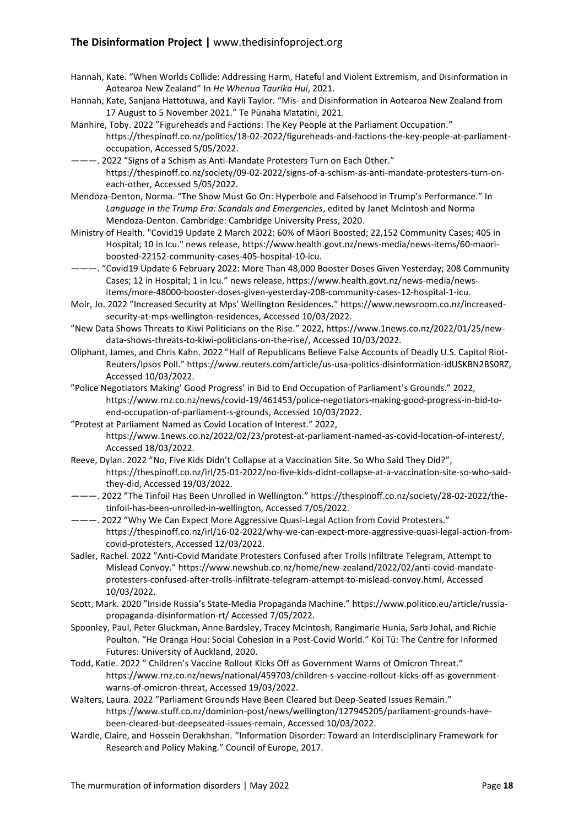#### **The Disinformation Project |** www.thedisinfoproject.org

- Hannah, Kate. "When Worlds Collide: Addressing Harm, Hateful and Violent Extremism, and Disinformation in Aotearoa New Zealand" In *He Whenua Taurika Hui*, 2021.
- Hannah, Kate, Sanjana Hattotuwa, and Kayli Taylor. "Mis- and Disinformation in Aotearoa New Zealand from 17 August to 5 November 2021." Te Pūnaha Matatini, 2021.
- Manhire, Toby. 2022 "Figureheads and Factions: The Key People at the Parliament Occupation." https://thespinoff.co.nz/politics/18-02-2022/figureheads-and-factions-the-key-people-at-parliamentoccupation, Accessed 5/05/2022.
- ———. 2022 "Signs of a Schism as Anti-Mandate Protesters Turn on Each Other." https://thespinoff.co.nz/society/09-02-2022/signs-of-a-schism-as-anti-mandate-protesters-turn-oneach-other, Accessed 5/05/2022.
- Mendoza-Denton, Norma. "The Show Must Go On: Hyperbole and Falsehood in Trump's Performance." In *Language in the Trump Era: Scandals and Emergencies*, edited by Janet McIntosh and Norma Mendoza-Denton. Cambridge: Cambridge University Press, 2020.
- Ministry of Health. "Covid19 Update 2 March 2022: 60% of Māori Boosted; 22,152 Community Cases; 405 in Hospital; 10 in Icu." news release, https://www.health.govt.nz/news-media/news-items/60-maoriboosted-22152-community-cases-405-hospital-10-icu.
- ———. "Covid19 Update 6 February 2022: More Than 48,000 Booster Doses Given Yesterday; 208 Community Cases; 12 in Hospital; 1 in Icu." news release, https://www.health.govt.nz/news-media/newsitems/more-48000-booster-doses-given-yesterday-208-community-cases-12-hospital-1-icu.
- Moir, Jo. 2022 "Increased Security at Mps' Wellington Residences." https://www.newsroom.co.nz/increasedsecurity-at-mps-wellington-residences, Accessed 10/03/2022.
- "New Data Shows Threats to Kiwi Politicians on the Rise." 2022, https://www.1news.co.nz/2022/01/25/newdata-shows-threats-to-kiwi-politicians-on-the-rise/, Accessed 10/03/2022.
- Oliphant, James, and Chris Kahn. 2022 "Half of Republicans Believe False Accounts of Deadly U.S. Capitol Riot-Reuters/Ipsos Poll." https://www.reuters.com/article/us-usa-politics-disinformation-idUSKBN2BS0RZ, Accessed 10/03/2022.
- "Police Negotiators Making' Good Progress' in Bid to End Occupation of Parliament's Grounds." 2022, https://www.rnz.co.nz/news/covid-19/461453/police-negotiators-making-good-progress-in-bid-toend-occupation-of-parliament-s-grounds, Accessed 10/03/2022.
- "Protest at Parliament Named as Covid Location of Interest." 2022, https://www.1news.co.nz/2022/02/23/protest-at-parliament-named-as-covid-location-of-interest/, Accessed 18/03/2022.
- Reeve, Dylan. 2022 "No, Five Kids Didn't Collapse at a Vaccination Site. So Who Said They Did?", https://thespinoff.co.nz/irl/25-01-2022/no-five-kids-didnt-collapse-at-a-vaccination-site-so-who-saidthey-did, Accessed 19/03/2022.
- ———. 2022 "The Tinfoil Has Been Unrolled in Wellington." https://thespinoff.co.nz/society/28-02-2022/thetinfoil-has-been-unrolled-in-wellington, Accessed 7/05/2022.
- ———. 2022 "Why We Can Expect More Aggressive Quasi-Legal Action from Covid Protesters." https://thespinoff.co.nz/irl/16-02-2022/why-we-can-expect-more-aggressive-quasi-legal-action-fromcovid-protesters, Accessed 12/03/2022.
- Sadler, Rachel. 2022 "Anti-Covid Mandate Protesters Confused after Trolls Infiltrate Telegram, Attempt to Mislead Convoy." https://www.newshub.co.nz/home/new-zealand/2022/02/anti-covid-mandateprotesters-confused-after-trolls-infiltrate-telegram-attempt-to-mislead-convoy.html, Accessed 10/03/2022.
- Scott, Mark. 2020 "Inside Russia's State-Media Propaganda Machine." https://www.politico.eu/article/russiapropaganda-disinformation-rt/ Accessed 7/05/2022.
- Spoonley, Paul, Peter Gluckman, Anne Bardsley, Tracey McIntosh, Rangimarie Hunia, Sarb Johal, and Richie Poulton. "He Oranga Hou: Social Cohesion in a Post-Covid World." Koi Tū: The Centre for Informed Futures: University of Auckland, 2020.
- Todd, Katie. 2022 " Children's Vaccine Rollout Kicks Off as Government Warns of Omicron Threat." https://www.rnz.co.nz/news/national/459703/children-s-vaccine-rollout-kicks-off-as-governmentwarns-of-omicron-threat, Accessed 19/03/2022.
- Walters, Laura. 2022 "Parliament Grounds Have Been Cleared but Deep-Seated Issues Remain." https://www.stuff.co.nz/dominion-post/news/wellington/127945205/parliament-grounds-havebeen-cleared-but-deepseated-issues-remain, Accessed 10/03/2022.
- Wardle, Claire, and Hossein Derakhshan. "Information Disorder: Toward an Interdisciplinary Framework for Research and Policy Making." Council of Europe, 2017.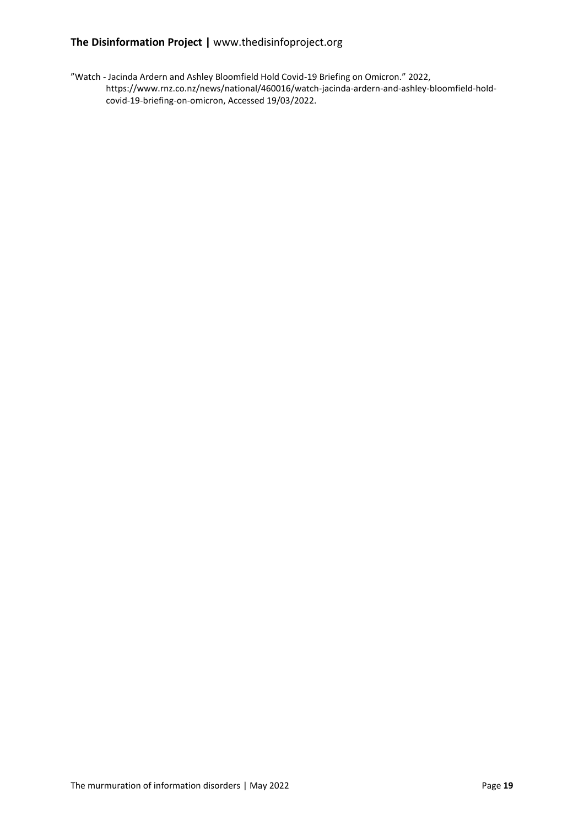#### **The Disinformation Project |** www.thedisinfoproject.org

"Watch - Jacinda Ardern and Ashley Bloomfield Hold Covid-19 Briefing on Omicron." 2022, https://www.rnz.co.nz/news/national/460016/watch-jacinda-ardern-and-ashley-bloomfield-holdcovid-19-briefing-on-omicron, Accessed 19/03/2022.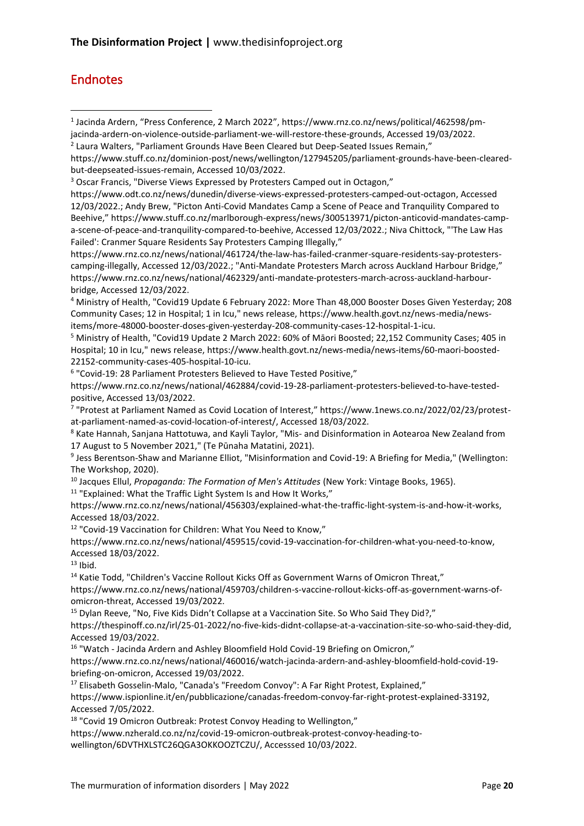# Endnotes

<sup>2</sup> Laura Walters, "Parliament Grounds Have Been Cleared but Deep-Seated Issues Remain,"

<sup>5</sup> Ministry of Health, "Covid19 Update 2 March 2022: 60% of Māori Boosted; 22,152 Community Cases; 405 in Hospital; 10 in Icu," news release, https://www.health.govt.nz/news-media/news-items/60-maori-boosted-22152-community-cases-405-hospital-10-icu.

6 "Covid-19: 28 Parliament Protesters Believed to Have Tested Positive,"

https://www.rnz.co.nz/news/national/462884/covid-19-28-parliament-protesters-believed-to-have-testedpositive, Accessed 13/03/2022.

7 "Protest at Parliament Named as Covid Location of Interest," https://www.1news.co.nz/2022/02/23/protestat-parliament-named-as-covid-location-of-interest/, Accessed 18/03/2022.

<sup>8</sup> Kate Hannah, Sanjana Hattotuwa, and Kayli Taylor, "Mis- and Disinformation in Aotearoa New Zealand from 17 August to 5 November 2021," (Te Pūnaha Matatini, 2021).

9 Jess Berentson-Shaw and Marianne Elliot, "Misinformation and Covid-19: A Briefing for Media," (Wellington: The Workshop, 2020).

<sup>10</sup> Jacques Ellul, *Propaganda: The Formation of Men's Attitudes* (New York: Vintage Books, 1965).

<sup>11</sup> "Explained: What the Traffic Light System Is and How It Works,"

https://www.rnz.co.nz/news/national/456303/explained-what-the-traffic-light-system-is-and-how-it-works, Accessed 18/03/2022.

<sup>12</sup> "Covid-19 Vaccination for Children: What You Need to Know,"

https://www.rnz.co.nz/news/national/459515/covid-19-vaccination-for-children-what-you-need-to-know, Accessed 18/03/2022.

 $13$  Ibid.

<sup>14</sup> Katie Todd, "Children's Vaccine Rollout Kicks Off as Government Warns of Omicron Threat," https://www.rnz.co.nz/news/national/459703/children-s-vaccine-rollout-kicks-off-as-government-warns-ofomicron-threat, Accessed 19/03/2022.

<sup>15</sup> Dylan Reeve, "No, Five Kids Didn't Collapse at a Vaccination Site. So Who Said They Did?,"

https://thespinoff.co.nz/irl/25-01-2022/no-five-kids-didnt-collapse-at-a-vaccination-site-so-who-said-they-did, Accessed 19/03/2022.

<sup>16</sup> "Watch - Jacinda Ardern and Ashley Bloomfield Hold Covid-19 Briefing on Omicron,"

https://www.rnz.co.nz/news/national/460016/watch-jacinda-ardern-and-ashley-bloomfield-hold-covid-19 briefing-on-omicron, Accessed 19/03/2022.

<sup>17</sup> Elisabeth Gosselin-Malo, "Canada's "Freedom Convoy": A Far Right Protest, Explained,"

https://www.ispionline.it/en/pubblicazione/canadas-freedom-convoy-far-right-protest-explained-33192, Accessed 7/05/2022.

<sup>18</sup> "Covid 19 Omicron Outbreak: Protest Convoy Heading to Wellington,"

https://www.nzherald.co.nz/nz/covid-19-omicron-outbreak-protest-convoy-heading-to-

wellington/6DVTHXLSTC26QGA3OKKOOZTCZU/, Accesssed 10/03/2022.

<sup>1</sup> Jacinda Ardern, "Press Conference, 2 March 2022", [https://www.rnz.co.nz/news/political/462598/pm](https://www.rnz.co.nz/news/political/462598/pm-jacinda-ardern-on-violence-outside-parliament-we-will-restore-these-grounds)[jacinda-ardern-on-violence-outside-parliament-we-will-restore-these-grounds,](https://www.rnz.co.nz/news/political/462598/pm-jacinda-ardern-on-violence-outside-parliament-we-will-restore-these-grounds) Accessed 19/03/2022.

https://www.stuff.co.nz/dominion-post/news/wellington/127945205/parliament-grounds-have-been-clearedbut-deepseated-issues-remain, Accessed 10/03/2022.

<sup>3</sup> Oscar Francis, "Diverse Views Expressed by Protesters Camped out in Octagon,"

https://www.odt.co.nz/news/dunedin/diverse-views-expressed-protesters-camped-out-octagon, Accessed 12/03/2022.; Andy Brew, "Picton Anti-Covid Mandates Camp a Scene of Peace and Tranquility Compared to Beehive," https://www.stuff.co.nz/marlborough-express/news/300513971/picton-anticovid-mandates-campa-scene-of-peace-and-tranquility-compared-to-beehive, Accessed 12/03/2022.; Niva Chittock, "'The Law Has Failed': Cranmer Square Residents Say Protesters Camping Illegally,"

https://www.rnz.co.nz/news/national/461724/the-law-has-failed-cranmer-square-residents-say-protesterscamping-illegally, Accessed 12/03/2022.; "Anti-Mandate Protesters March across Auckland Harbour Bridge," https://www.rnz.co.nz/news/national/462329/anti-mandate-protesters-march-across-auckland-harbourbridge, Accessed 12/03/2022.

<sup>4</sup> Ministry of Health, "Covid19 Update 6 February 2022: More Than 48,000 Booster Doses Given Yesterday; 208 Community Cases; 12 in Hospital; 1 in Icu," news release, https://www.health.govt.nz/news-media/newsitems/more-48000-booster-doses-given-yesterday-208-community-cases-12-hospital-1-icu.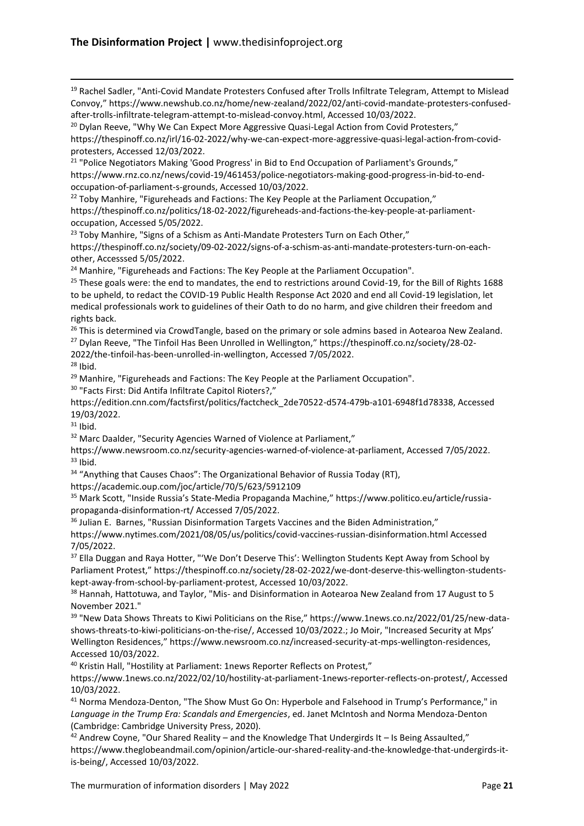<sup>19</sup> Rachel Sadler, "Anti-Covid Mandate Protesters Confused after Trolls Infiltrate Telegram, Attempt to Mislead Convoy," https://www.newshub.co.nz/home/new-zealand/2022/02/anti-covid-mandate-protesters-confusedafter-trolls-infiltrate-telegram-attempt-to-mislead-convoy.html, Accessed 10/03/2022.

 $20$  Dylan Reeve, "Why We Can Expect More Aggressive Quasi-Legal Action from Covid Protesters," https://thespinoff.co.nz/irl/16-02-2022/why-we-can-expect-more-aggressive-quasi-legal-action-from-covidprotesters, Accessed 12/03/2022.

<sup>21</sup> "Police Negotiators Making 'Good Progress' in Bid to End Occupation of Parliament's Grounds," https://www.rnz.co.nz/news/covid-19/461453/police-negotiators-making-good-progress-in-bid-to-endoccupation-of-parliament-s-grounds, Accessed 10/03/2022.

<sup>22</sup> Toby Manhire, "Figureheads and Factions: The Key People at the Parliament Occupation," https://thespinoff.co.nz/politics/18-02-2022/figureheads-and-factions-the-key-people-at-parliamentoccupation, Accessed 5/05/2022.

<sup>23</sup> Toby Manhire, "Signs of a Schism as Anti-Mandate Protesters Turn on Each Other," https://thespinoff.co.nz/society/09-02-2022/signs-of-a-schism-as-anti-mandate-protesters-turn-on-eachother, Accesssed 5/05/2022.

<sup>24</sup> Manhire, "Figureheads and Factions: The Key People at the Parliament Occupation".

<sup>25</sup> These goals were: the end to mandates, the end to restrictions around Covid-19, for the Bill of Rights 1688 to be upheld, to redact the COVID-19 Public Health Response Act 2020 and end all Covid-19 legislation, let medical professionals work to guidelines of their Oath to do no harm, and give children their freedom and rights back.

<sup>26</sup> This is determined via CrowdTangle, based on the primary or sole admins based in Aotearoa New Zealand. <sup>27</sup> Dylan Reeve, "The Tinfoil Has Been Unrolled in Wellington," https://thespinoff.co.nz/society/28-02- 2022/the-tinfoil-has-been-unrolled-in-wellington, Accessed 7/05/2022.

 $28$  Ibid.

<sup>29</sup> Manhire, "Figureheads and Factions: The Key People at the Parliament Occupation".

<sup>30</sup> "Facts First: Did Antifa Infiltrate Capitol Rioters?,"

https://edition.cnn.com/factsfirst/politics/factcheck\_2de70522-d574-479b-a101-6948f1d78338, Accessed 19/03/2022.

 $31$  Ibid.

<sup>32</sup> Marc Daalder, "Security Agencies Warned of Violence at Parliament,"

https://www.newsroom.co.nz/security-agencies-warned-of-violence-at-parliament, Accessed 7/05/2022.  $33$  Ibid.

<sup>34</sup> "Anything that Causes Chaos": The Organizational Behavior of Russia Today (RT),

https://academic.oup.com/joc/article/70/5/623/5912109

<sup>35</sup> Mark Scott, "Inside Russia's State-Media Propaganda Machine," https://www.politico.eu/article/russiapropaganda-disinformation-rt/ Accessed 7/05/2022.

<sup>36</sup> Julian E. Barnes, "Russian Disinformation Targets Vaccines and the Biden Administration," https://www.nytimes.com/2021/08/05/us/politics/covid-vaccines-russian-disinformation.html Accessed 7/05/2022.

<sup>37</sup> Ella Duggan and Raya Hotter, "'We Don't Deserve This': Wellington Students Kept Away from School by Parliament Protest," https://thespinoff.co.nz/society/28-02-2022/we-dont-deserve-this-wellington-studentskept-away-from-school-by-parliament-protest, Accessed 10/03/2022.

<sup>38</sup> Hannah, Hattotuwa, and Taylor, "Mis- and Disinformation in Aotearoa New Zealand from 17 August to 5 November 2021."

<sup>39</sup> "New Data Shows Threats to Kiwi Politicians on the Rise," https://www.1news.co.nz/2022/01/25/new-datashows-threats-to-kiwi-politicians-on-the-rise/, Accessed 10/03/2022.; Jo Moir, "Increased Security at Mps' Wellington Residences," https://www.newsroom.co.nz/increased-security-at-mps-wellington-residences, Accessed 10/03/2022.

<sup>40</sup> Kristin Hall, "Hostility at Parliament: 1news Reporter Reflects on Protest,"

https://www.1news.co.nz/2022/02/10/hostility-at-parliament-1news-reporter-reflects-on-protest/, Accessed 10/03/2022.

<sup>41</sup> Norma Mendoza-Denton, "The Show Must Go On: Hyperbole and Falsehood in Trump's Performance," in *Language in the Trump Era: Scandals and Emergencies*, ed. Janet McIntosh and Norma Mendoza-Denton (Cambridge: Cambridge University Press, 2020).

 $42$  Andrew Coyne, "Our Shared Reality – and the Knowledge That Undergirds It – Is Being Assaulted," https://www.theglobeandmail.com/opinion/article-our-shared-reality-and-the-knowledge-that-undergirds-itis-being/, Accessed 10/03/2022.